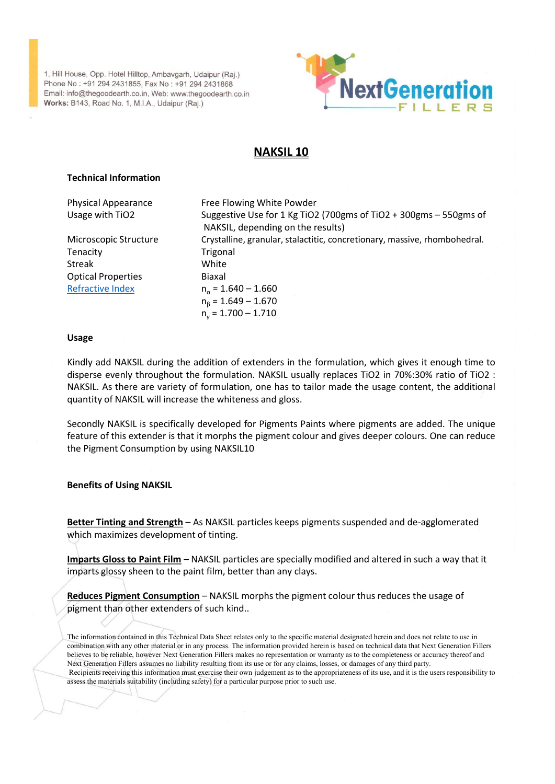

# NAKSIL 10

## Technical Information

Refractive Index  $n_a = 1.640 - 1.660$ 

House, Opp. Hotel Hilltop, Ambavgarh, Udalpur (Raj.)<br>
No: +91 294 2431856, Fax No. : +91 294 2431888<br>
Hof @the goodsath.co.in, Web: www.thegoodsath.co.in<br>
E B143, Road No. 1, M.I.A., Udalpur (Raj.)<br> **NAKSIL 10**<br> **Physical** For 2022 (1990)<br>
Noise, Opp. Hotel Hilltop, Ambavgarh, Udalpur (Raj.)<br>
Info@Phogodearth.co.in, Web: www.fhegodearth.co.in<br>
Info@Phogodearth.co.in, Web: www.fhegodearth.co.in<br>
Info@Physical Appearance<br>
Information<br>
Physical NAKSIL, depending on the results) Microscopic Structure Crystalline, granular, stalactitic, concretionary, massive, rhombohedral. House, Opp. Hotel Hilltop, Ambavgarh, Udaipur (Raj.)<br>
No.: +91 294 2431665, Fax No.: +91 294 2431668<br>
Tel 413, Road No. 1, M.I.A., Udaipur (Raj.)<br>
Fig. 1 L. L. E. R. S.<br>
MAKSIL 10<br>
Technical Information<br>
Physical Appearanc House, Opp. Hotel Hilliop, Ambaygarh, Udajpur (Raj.)<br>
No.: +91 294 2431655, Fax No.: +91 294 2431688<br>
IB143, Road No. 1, M.I.A., Udajpur (Raj.)<br>
Bigger White Your University of The Fig. 1. L. E. R. E.<br>
Streak Usage with T For Ethers, Franching, Ambaygarh, Udalpur (Raj.)<br>
No.: 491 243 (1855, Fax No.: 491 294 2431868<br>
The Christian Research Co. I. M.I.A., Udalpur (Raj.)<br>
Fersta, Road No. 1, M.I.A., Udalpur (Raj.)<br>
The Christian Research Co. I or (Raj.)<br>
Stages<br>
Stearth.co.in<br>
Stages<br>
Parth.co.in<br>
Parth.co.in<br>
Parth.co.in<br>
Parth.co.in<br>
Parth.co.in<br>
Parth.co.in<br>
Reflexive Use for 1 Kg TiO2 (700gms of TiO2 + 300gms – 550gms of<br>
NAKSIL 10<br>
Parth.co.in<br>
Reflexive Us  $n<sub>β</sub> = 1.649 - 1.670$ ur (Raj.)<br>
State Howards<br>
Hearth.co.in<br>
State Howards<br>
E Flowing White Powder<br>
E Felix Use R S<br>
NAKSIL 10<br>
State Eigenstrie Use for 1 Kg TiO2 (700gms of TiO2 + 300gms – 550gms of<br>
State 1.649 – 1.670<br>
State 1.649 – 1.670<br> 2431688<br>
Dolodearth.co.in<br>
DOS Conservation<br>
F I L L E R 5<br>
NAKSIL 10<br>
Free Flowing White Powder<br>
Suggestive Use for 1 Kg TiO2 (700gms of TiO2 + 300gms – 550gms of<br>
NAKSIL, depending on the results)<br>
Trigonal<br>
Trigonal<br>
T **NAKSIL 10**<br> **Extendibution**<br>
Physical Appearance<br>
Usage with TiO2<br>
Usage with TiO2<br>
Suggestive Use for 1 Kg TiO2 (700gms of TiO2 + 300gms - 550gms of<br>
Microscopic Structure<br>
Trigonal<br>
Streak<br>
Trigonal<br>
Streak<br>
Trigonal<br> **Technical Information**<br>
Physical Appearance<br>
Usage with TiO2 Fore Flowing White Powder<br>
Usage with TiO2 Forestilline, granular, stalactitic, concretionary, massive, rhombohedral.<br>
Tenacity<br>
Microscopic Structure Crystall **Technical Information**<br>
Physical Appearance<br>
Usage with TiO2 Suggestive Use for 1 K g TiO2 (700gms of TiO2 + 300gms – 550gms of<br>
NAKSIL, depending on the results)<br>
MAKSIL during cannular, stalactive, concretionary, massi **Technical Information**<br> **Physical Appearance**<br> **Physical Appearance**<br> **Singe with TiO2**<br> **Singer Singer Singer Singer USE of NAKSIL, depending on the results)<br>
Microscopic Structure<br>
Crystalline, granular, stalactitic, c** Physical Appearance<br>
Usage with TiO2<br>
Suggestive Use for 1 Kg TiO2 (700gms of TiO2 + 300gms – 550gms of<br>
Microscopic Structure<br>
Integral<br>
Christiline, granular, stalactitic, concretionary, massive, rhombohedral,<br>
Streak<br> Fere irowing winte Poweer<br>
Usage with TiO2<br>
Usage with TiO2<br>
Suggestive Use for 1 Kg TiO2 (700gms of TiO2 + 300gms – 550gms of<br>
Microscopic Structure<br>
Transity<br>
Crystalline, granular, stalactitic, concretionary, massive, Using the Pigment Correlation of the NUZ (Vignes or Tuzz + Subgrape Consumption by USIC (Vignes of The Consumption Consumption Trigonial Tensitive Consumption of Trigonial Expansive, the Minteroscopic Structure Consumptio

### Usage

Etheractive index<br>  $n_a = 1.649 - 1.670$ <br>  $n_p = 1.649 - 1.670$ <br>  $n_p = 1.700 - 1.710$ <br>  $n_s = 1.700 - 1.710$ <br>
Bisage<br>
Kindly add NAKSIL during the addition of extenders in the formulation, which gives it enough time to<br>
disperse eve Usage<br>
IX Kindly add NAKSIL during the addition of extenders in the formulation, which gives it enough time to<br>
disperse evenly throughout the formulation. NAKSIL usually replaces TiO2 in 70%:30% ratio of TiO2 :<br>
NAKSIL. A Kingly and NAKSIL auring the addition of extenders in the formulation, which gives it enough the pigments<br>
disperse evenly throughout the formulation, one has to tailor replaces TiO2 in 70%:30% ratio of TiO2 :<br>
NAKSIL, as

## Benefits of Using NAKSIL

which maximizes development of tinting.

imparts glossy sheen to the paint film, better than any clays.

pigment than other extenders of such kind..

The information contained in this Technical Data Sheet relates only to the specific material designated herein and does not relate to use in combination with any other material or in any process. The information provided herein is based on technical data that Next Generation Fillers believes to be reliable, however Next Generation Fillers makes no representation or warranty as to the completeness or accuracy thereof and Next Generation Fillers assumes no liability resulting from its use or for any claims, losses, or damages of any third party. reature of this extender is that it morphs the pigment colour and gives deeper colours. One can reduce<br>the Pigment Consumption by using NAKSIL10<br>**Benefits of Using NAKSIL**<br>**Benefits of Using NAKSIL**<br>**Benefits of Using NAKS** assess the materials suitability (including safety) for a particular purpose prior to such use.